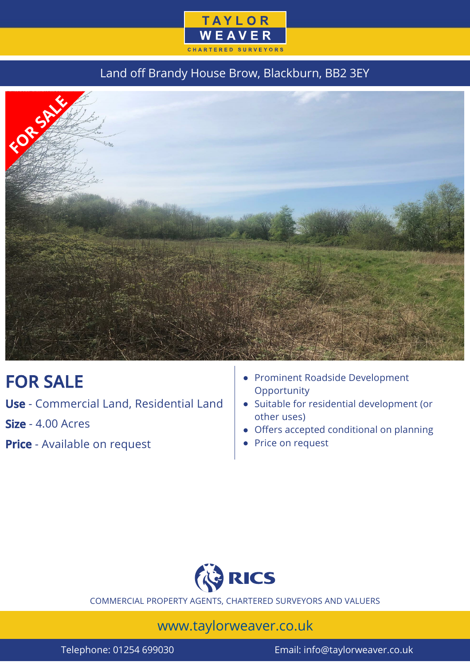

### Land off Brandy House Brow, Blackburn, BB2 3EY



# FOR SALE

Use - Commercial Land, Residential Land

Size - 4.00 Acres

**Price** - Available on request

- Prominent Roadside Development **Opportunity**
- Suitable for residential development (or other uses)
- Offers accepted conditional on planning
- Price on request



COMMERCIAL PROPERTY AGENTS, CHARTERED SURVEYORS AND VALUERS

## www.taylorweaver.co.uk

Telephone: 01254 699030 Email: info@taylorweaver.co.uk